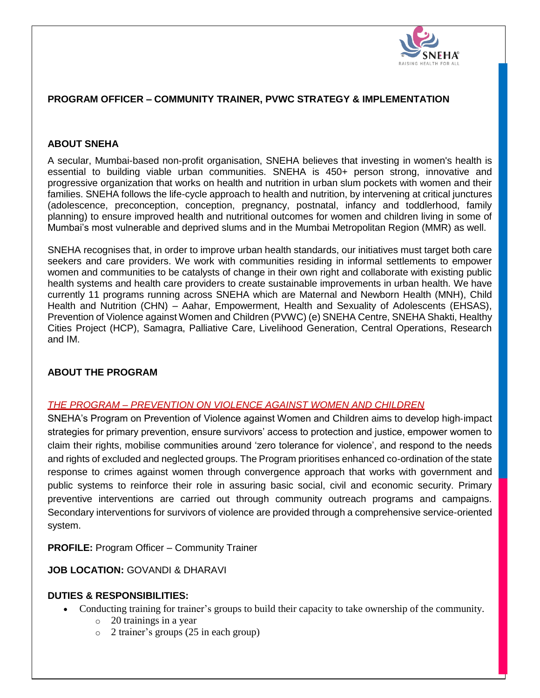

# **PROGRAM OFFICER – COMMUNITY TRAINER, PVWC STRATEGY & IMPLEMENTATION**

## **ABOUT SNEHA**

A secular, Mumbai-based non-profit organisation, SNEHA believes that investing in women's health is essential to building viable urban communities. SNEHA is 450+ person strong, innovative and progressive organization that works on health and nutrition in urban slum pockets with women and their families. SNEHA follows the life-cycle approach to health and nutrition, by intervening at critical junctures (adolescence, preconception, conception, pregnancy, postnatal, infancy and toddlerhood, family planning) to ensure improved health and nutritional outcomes for women and children living in some of Mumbai's most vulnerable and deprived slums and in the Mumbai Metropolitan Region (MMR) as well.

SNEHA recognises that, in order to improve urban health standards, our initiatives must target both care seekers and care providers. We work with communities residing in informal settlements to empower women and communities to be catalysts of change in their own right and collaborate with existing public health systems and health care providers to create sustainable improvements in urban health. We have currently 11 programs running across SNEHA which are Maternal and Newborn Health (MNH), Child Health and Nutrition (CHN) – Aahar, Empowerment, Health and Sexuality of Adolescents (EHSAS), Prevention of Violence against Women and Children (PVWC) (e) SNEHA Centre, SNEHA Shakti, Healthy Cities Project (HCP), Samagra, Palliative Care, Livelihood Generation, Central Operations, Research and IM.

## **ABOUT THE PROGRAM**

#### *THE PROGRAM – PREVENTION ON VIOLENCE AGAINST WOMEN AND CHILDREN*

SNEHA's Program on Prevention of Violence against Women and Children aims to develop high‐impact strategies for primary prevention, ensure survivors' access to protection and justice, empower women to claim their rights, mobilise communities around 'zero tolerance for violence', and respond to the needs and rights of excluded and neglected groups. The Program prioritises enhanced co-ordination of the state response to crimes against women through convergence approach that works with government and public systems to reinforce their role in assuring basic social, civil and economic security. Primary preventive interventions are carried out through community outreach programs and campaigns. Secondary interventions for survivors of violence are provided through a comprehensive service-oriented system.

**PROFILE:** Program Officer – Community Trainer

**JOB LOCATION:** GOVANDI & DHARAVI

#### **DUTIES & RESPONSIBILITIES:**

- Conducting training for trainer's groups to build their capacity to take ownership of the community.
	- o 20 trainings in a year
	- o 2 trainer's groups (25 in each group)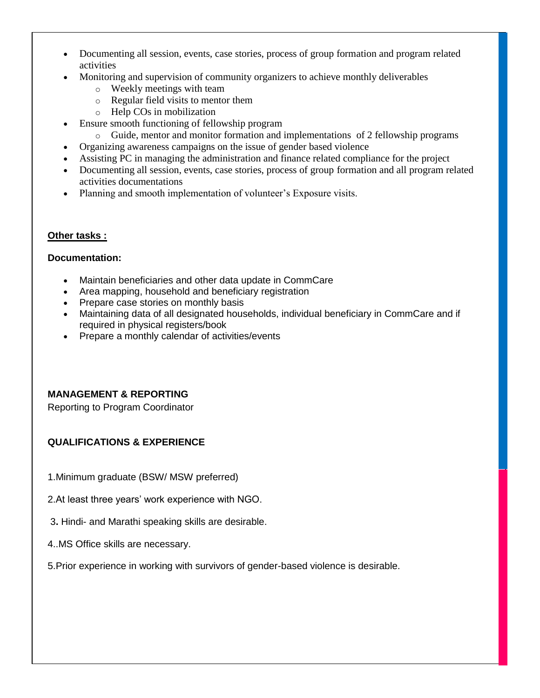- Documenting all session, events, case stories, process of group formation and program related activities
- Monitoring and supervision of community organizers to achieve monthly deliverables
	- o Weekly meetings with team
	- o Regular field visits to mentor them
	- o Help COs in mobilization
- Ensure smooth functioning of fellowship program
	- $\circ$  Guide, mentor and monitor formation and implementations of 2 fellowship programs
- Organizing awareness campaigns on the issue of gender based violence
- Assisting PC in managing the administration and finance related compliance for the project
- Documenting all session, events, case stories, process of group formation and all program related activities documentations
- Planning and smooth implementation of volunteer's Exposure visits.

#### **Other tasks :**

#### **Documentation:**

- Maintain beneficiaries and other data update in CommCare
- Area mapping, household and beneficiary registration
- Prepare case stories on monthly basis
- Maintaining data of all designated households, individual beneficiary in CommCare and if required in physical registers/book
- Prepare a monthly calendar of activities/events

## **MANAGEMENT & REPORTING**

Reporting to Program Coordinator

# **QUALIFICATIONS & EXPERIENCE**

- 1.Minimum graduate (BSW/ MSW preferred)
- 2.At least three years' work experience with NGO.
- 3**.** Hindi- and Marathi speaking skills are desirable.
- 4..MS Office skills are necessary.
- 5.Prior experience in working with survivors of gender-based violence is desirable.